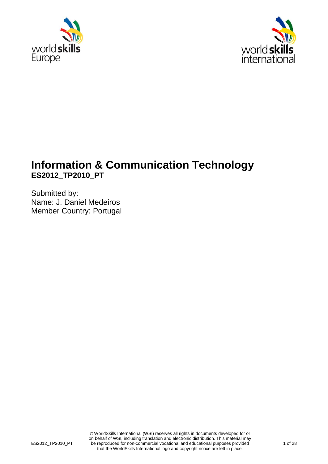



# **Information & Communication Technology ES2012\_TP2010\_PT**

Submitted by: Name: J. Daniel Medeiros Member Country: Portugal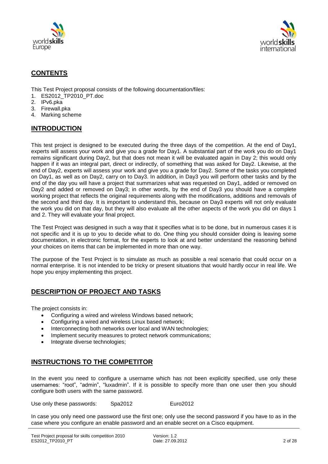



### **CONTENTS**

This Test Project proposal consists of the following documentation/files:

- 1. ES2012\_TP2010\_PT.doc
- 2. IPv6.pka
- 3. Firewall.pka
- 4. Marking scheme

### **INTRODUCTION**

This test project is designed to be executed during the three days of the competition. At the end of Day1, experts will assess your work and give you a grade for Day1. A substantial part of the work you do on Day1 remains significant during Day2, but that does not mean it will be evaluated again in Day 2; this would only happen if it was an integral part, direct or indirectly, of something that was asked for Day2. Likewise, at the end of Day2, experts will assess your work and give you a grade for Day2. Some of the tasks you completed on Day1, as well as on Day2, carry on to Day3. In addition, in Day3 you will perform other tasks and by the end of the day you will have a project that summarizes what was requested on Day1, added or removed on Day2 and added or removed on Day3; in other words, by the end of Day3 you should have a complete working project that reflects the original requirements along with the modifications, additions and removals of the second and third day. It is important to understand this, because on Day3 experts will not only evaluate the work you did on that day, but they will also evaluate all the other aspects of the work you did on days 1 and 2. They will evaluate your final project.

The Test Project was designed in such a way that it specifies what is to be done, but in numerous cases it is not specific and it is up to you to decide what to do. One thing you should consider doing is leaving some documentation, in electronic format, for the experts to look at and better understand the reasoning behind your choices on items that can be implemented in more than one way.

The purpose of the Test Project is to simulate as much as possible a real scenario that could occur on a normal enterprise. It is not intended to be tricky or present situations that would hardly occur in real life. We hope you enjoy implementing this project.

### **DESCRIPTION OF PROJECT AND TASKS**

The project consists in:

- Configuring a wired and wireless Windows based network;
- Configuring a wired and wireless Linux based network;
- Interconnecting both networks over local and WAN technologies;
- Implement security measures to protect network communications;
- Integrate diverse technologies;

### **INSTRUCTIONS TO THE COMPETITOR**

In the event you need to configure a username which has not been explicitly specified, use only these usernames: "root", "admin", "luxadmin". If it is possible to specify more than one user then you should configure both users with the same password.

Use only these passwords: Spa2012 Euro2012

In case you only need one password use the first one; only use the second password if you have to as in the case where you configure an enable password and an enable secret on a Cisco equipment.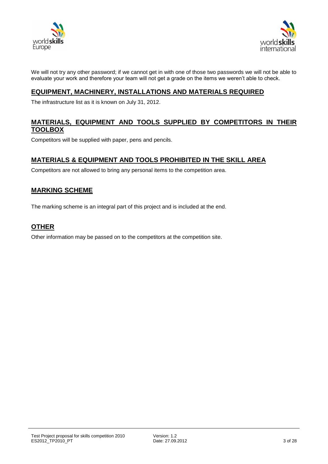



We will not try any other password; if we cannot get in with one of those two passwords we will not be able to evaluate your work and therefore your team will not get a grade on the items we weren't able to check.

### **EQUIPMENT, MACHINERY, INSTALLATIONS AND MATERIALS REQUIRED**

The infrastructure list as it is known on July 31, 2012.

#### **MATERIALS, EQUIPMENT AND TOOLS SUPPLIED BY COMPETITORS IN THEIR TOOLBOX**

Competitors will be supplied with paper, pens and pencils.

#### **MATERIALS & EQUIPMENT AND TOOLS PROHIBITED IN THE SKILL AREA**

Competitors are not allowed to bring any personal items to the competition area.

### **MARKING SCHEME**

The marking scheme is an integral part of this project and is included at the end.

#### **OTHER**

Other information may be passed on to the competitors at the competition site.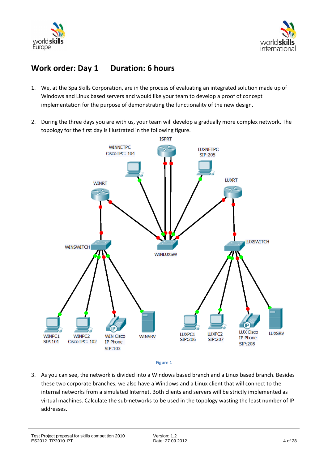



## **Work order: Day 1 Duration: 6 hours**

- 1. We, at the Spa Skills Corporation, are in the process of evaluating an integrated solution made up of Windows and Linux based servers and would like your team to develop a proof of concept implementation for the purpose of demonstrating the functionality of the new design.
- 2. During the three days you are with us, your team will develop a gradually more complex network. The topology for the first day is illustrated in the following figure.



**Figure 1**

3. As you can see, the network is divided into a Windows based branch and a Linux based branch. Besides these two corporate branches, we also have a Windows and a Linux client that will connect to the internal networks from a simulated Internet. Both clients and servers will be strictly implemented as virtual machines. Calculate the sub-networks to be used in the topology wasting the least number of IP addresses.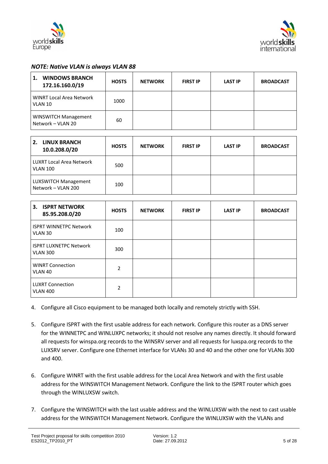



#### *NOTE: Native VLAN is always VLAN 88*

| <b>WINDOWS BRANCH</b><br>1.<br>172.16.160.0/19   | <b>HOSTS</b> | <b>NETWORK</b> | <b>FIRST IP</b> | <b>LAST IP</b> | <b>BROADCAST</b> |
|--------------------------------------------------|--------------|----------------|-----------------|----------------|------------------|
| <b>WINRT Local Area Network</b><br>VLAN 10       | 1000         |                |                 |                |                  |
| <b>WINSWITCH Management</b><br>Network - VLAN 20 | 60           |                |                 |                |                  |

| <b>LINUX BRANCH</b><br>2.<br>10.0.208.0/20         | <b>HOSTS</b> | <b>NETWORK</b> | <b>FIRST IP</b> | <b>LAST IP</b> | <b>BROADCAST</b> |
|----------------------------------------------------|--------------|----------------|-----------------|----------------|------------------|
| <b>LUXRT Local Area Network</b><br><b>VLAN 100</b> | 500          |                |                 |                |                  |
| LUXSWITCH Management<br>Network - VLAN 200         | 100          |                |                 |                |                  |

| <b>ISPRT NETWORK</b><br>3.<br>85.95.208.0/20     | <b>HOSTS</b>  | <b>NETWORK</b> | <b>FIRST IP</b> | <b>LAST IP</b> | <b>BROADCAST</b> |
|--------------------------------------------------|---------------|----------------|-----------------|----------------|------------------|
| <b>ISPRT WINNETPC Network</b><br>VLAN 30         | 100           |                |                 |                |                  |
| <b>ISPRT LUXNETPC Network</b><br><b>VLAN 300</b> | 300           |                |                 |                |                  |
| <b>WINRT Connection</b><br>VLAN 40               | 2             |                |                 |                |                  |
| <b>LUXRT Connection</b><br><b>VLAN 400</b>       | $\mathcal{P}$ |                |                 |                |                  |

- 4. Configure all Cisco equipment to be managed both locally and remotely strictly with SSH.
- 5. Configure ISPRT with the first usable address for each network. Configure this router as a DNS server for the WINNETPC and WINLUXPC networks; it should not resolve any names directly. It should forward all requests for winspa.org records to the WINSRV server and all requests for luxspa.org records to the LUXSRV server. Configure one Ethernet interface for VLANs 30 and 40 and the other one for VLANs 300 and 400.
- 6. Configure WINRT with the first usable address for the Local Area Network and with the first usable address for the WINSWITCH Management Network. Configure the link to the ISPRT router which goes through the WINLUXSW switch.
- 7. Configure the WINSWITCH with the last usable address and the WINLUXSW with the next to cast usable address for the WINSWITCH Management Network. Configure the WINLUXSW with the VLANs and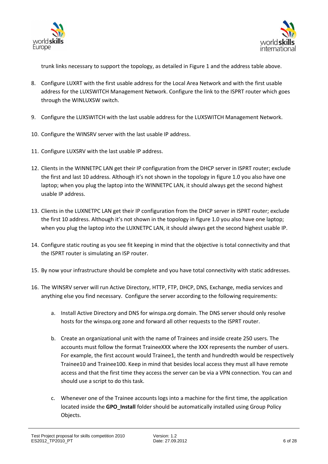



trunk links necessary to support the topology, as detailed in Figure 1 and the address table above.

- 8. Configure LUXRT with the first usable address for the Local Area Network and with the first usable address for the LUXSWITCH Management Network. Configure the link to the ISPRT router which goes through the WINLUXSW switch.
- 9. Configure the LUXSWITCH with the last usable address for the LUXSWITCH Management Network.
- 10. Configure the WINSRV server with the last usable IP address.
- 11. Configure LUXSRV with the last usable IP address.
- 12. Clients in the WINNETPC LAN get their IP configuration from the DHCP server in ISPRT router; exclude the first and last 10 address. Although it's not shown in the topology in figure 1.0 you also have one laptop; when you plug the laptop into the WINNETPC LAN, it should always get the second highest usable IP address.
- 13. Clients in the LUXNETPC LAN get their IP configuration from the DHCP server in ISPRT router; exclude the first 10 address. Although it's not shown in the topology in figure 1.0 you also have one laptop; when you plug the laptop into the LUXNETPC LAN, it should always get the second highest usable IP.
- 14. Configure static routing as you see fit keeping in mind that the objective is total connectivity and that the ISPRT router is simulating an ISP router.
- 15. By now your infrastructure should be complete and you have total connectivity with static addresses.
- 16. The WINSRV server will run Active Directory, HTTP, FTP, DHCP, DNS, Exchange, media services and anything else you find necessary. Configure the server according to the following requirements:
	- a. Install Active Directory and DNS for winspa.org domain. The DNS server should only resolve hosts for the winspa.org zone and forward all other requests to the ISPRT router.
	- b. Create an organizational unit with the name of Trainees and inside create 250 users. The accounts must follow the format TraineeXXX where the XXX represents the number of users. For example, the first account would Trainee1, the tenth and hundredth would be respectively Trainee10 and Trainee100. Keep in mind that besides local access they must all have remote access and that the first time they access the server can be via a VPN connection. You can and should use a script to do this task.
	- c. Whenever one of the Trainee accounts logs into a machine for the first time, the application located inside the **GPO\_Install** folder should be automatically installed using Group Policy Objects.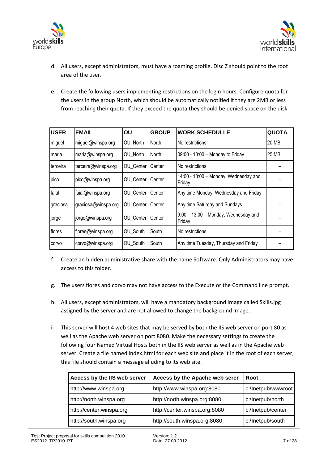



- d. All users, except administrators, must have a roaming profile. Disc Z should point to the root area of the user.
- e. Create the following users implementing restrictions on the login hours. Configure quota for the users in the group North, which should be automatically notified if they are 2MB or less from reaching their quota. If they exceed the quota they should be denied space on the disk.

| <b>USER</b> | <b>EMAIL</b>        | OU        | <b>GROUP</b> | <b>WORK SCHEDULLE</b>                            | <b>QUOTA</b> |
|-------------|---------------------|-----------|--------------|--------------------------------------------------|--------------|
| miguel      | miguel@winspa.org   | OU North  | North        | No restrictions                                  | 20 MB        |
| Imaria      | maria@winspa.org    | OU North  | North        | 09:00 - 18:00 - Monday to Friday                 | 25 MB        |
| terceira    | terceira@winspa.org | OU Center | Center       | No restrictions                                  |              |
| pico        | pico@winspa.org     | OU Center | Center       | 14:00 - 18:00 - Monday, Wednesday and<br>Friday  |              |
| faial       | faial@winspa.org    | OU Center | Center       | Any time Monday, Wednesday and Friday            |              |
| graciosa    | graciosa@winspa.org | OU Center | Center       | Any time Saturday and Sundays                    |              |
| jorge       | jorge@winspa.org    | OU Center | Center       | $9:00 - 13:00$ – Monday, Wednesday and<br>Friday |              |
| flores      | flores@winspa.org   | OU South  | South        | No restrictions                                  |              |
| corvo       | corvo@winspa.org    | OU South  | South        | Any time Tuesday, Thursday and Friday            |              |

- f. Create an hidden administrative share with the name Software. Only Administrators may have access to this folder.
- g. The users flores and corvo may not have access to the Execute or the Command line prompt.
- h. All users, except administrators, will have a mandatory background image called Skills.jpg assigned by the server and are not allowed to change the background image.
- i. This server will host 4 web sites that may be served by both the IIS web server on port 80 as well as the Apache web server on port 8080. Make the necessary settings to create the following four Named Virtual Hosts both in the IIS web server as well as in the Apache web server. Create a file named index.html for each web site and place it in the root of each server, this file should contain a message alluding to its web site.

| Access by the IIS web server | Access by the Apache web serer | Root               |
|------------------------------|--------------------------------|--------------------|
| http://www.winspa.org        | http://www.winspa.org:8080     | c:\lnetpub\wwwroot |
| http://north.winspa.org      | http://north.winspa.org:8080   | c:\Inetpub\north   |
| http://center.winspa.org     | http://center.winspa.org:8080  | c:\Inetpub\center  |
| http://south.winspa.org      | http://south.winspa.org:8080   | c:\Inetpub\south   |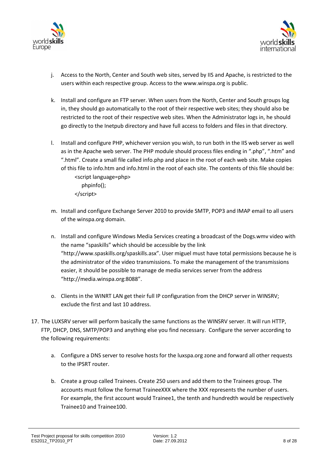



- j. Access to the North, Center and South web sites, served by IIS and Apache, is restricted to the users within each respective group. Access to the www.winspa.org is public.
- k. Install and configure an FTP server. When users from the North, Center and South groups log in, they should go automatically to the root of their respective web sites; they should also be restricted to the root of their respective web sites. When the Administrator logs in, he should go directly to the Inetpub directory and have full access to folders and files in that directory.
- l. Install and configure PHP, whichever version you wish, to run both in the IIS web server as well as in the Apache web server. The PHP module should process files ending in ".php", ".htm" and ".html". Create a small file called info.php and place in the root of each web site. Make copies of this file to info.htm and info.html in the root of each site. The contents of this file should be: <script language=php> phpinfo(); </script>
- m. Install and configure Exchange Server 2010 to provide SMTP, POP3 and IMAP email to all users of the winspa.org domain.
- n. Install and configure Windows Media Services creating a broadcast of the Dogs.wmv video with the name "spaskills" which should be accessible by the link "http://www.spaskills.org/spaskills.asx". User miguel must have total permissions because he is the administrator of the video transmissions. To make the management of the transmissions easier, it should be possible to manage de media services server from the address "http://media.winspa.org:8088".
- o. Clients in the WINRT LAN get their full IP configuration from the DHCP server in WINSRV; exclude the first and last 10 address.
- 17. The LUXSRV server will perform basically the same functions as the WINSRV server. It will run HTTP, FTP, DHCP, DNS, SMTP/POP3 and anything else you find necessary. Configure the server according to the following requirements:
	- a. Configure a DNS server to resolve hosts for the luxspa.org zone and forward all other requests to the IPSRT router.
	- b. Create a group called Trainees. Create 250 users and add them to the Trainees group. The accounts must follow the format TraineeXXX where the XXX represents the number of users. For example, the first account would Trainee1, the tenth and hundredth would be respectively Trainee10 and Trainee100.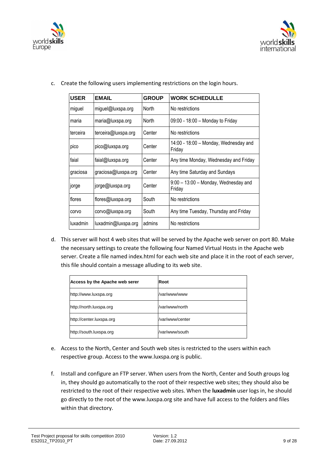



| <b>USER</b> | <b>EMAIL</b>        | <b>GROUP</b> | <b>WORK SCHEDULLE</b>                            |
|-------------|---------------------|--------------|--------------------------------------------------|
| miguel      | miguel@luxspa.org   | North        | No restrictions                                  |
| maria       | maria@luxspa.org    | North        | 09:00 - 18:00 - Monday to Friday                 |
| terceira    | terceira@luxspa.org | Center       | No restrictions                                  |
| pico        | pico@luxspa.org     | Center       | 14:00 - 18:00 - Monday, Wednesday and<br>Friday  |
| faial       | faial@luxspa.org    | Center       | Any time Monday, Wednesday and Friday            |
| graciosa    | graciosa@luxspa.org | Center       | Any time Saturday and Sundays                    |
| jorge       | jorge@luxspa.org    | Center       | $9:00 - 13:00$ – Monday, Wednesday and<br>Friday |
| flores      | flores@luxspa.org   | South        | No restrictions                                  |
| corvo       | corvo@luxspa.org    | South        | Any time Tuesday, Thursday and Friday            |
| luxadmin    | luxadmin@luxspa.org | admins       | No restrictions                                  |

c. Create the following users implementing restrictions on the login hours.

d. This server will host 4 web sites that will be served by the Apache web server on port 80. Make the necessary settings to create the following four Named Virtual Hosts in the Apache web server. Create a file named index.html for each web site and place it in the root of each server, this file should contain a message alluding to its web site.

| Access by the Apache web serer | Root            |
|--------------------------------|-----------------|
| http://www.luxspa.org          | /var/www/www    |
| http://north.luxspa.org        | /var/www/north  |
| http://center.luxspa.org       | /var/www/center |
| http://south.luxspa.org        | /var/www/south  |

- e. Access to the North, Center and South web sites is restricted to the users within each respective group. Access to the www.luxspa.org is public.
- f. Install and configure an FTP server. When users from the North, Center and South groups log in, they should go automatically to the root of their respective web sites; they should also be restricted to the root of their respective web sites. When the **luxadmin** user logs in, he should go directly to the root of the www.luxspa.org site and have full access to the folders and files within that directory.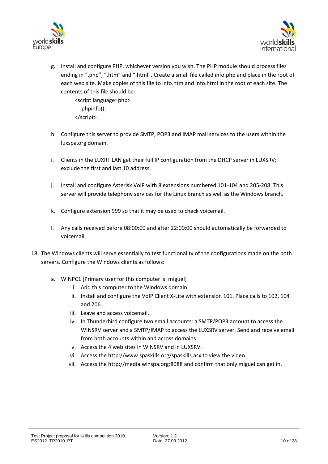



g. Install and configure PHP, whichever version you wish. The PHP module should process files ending in ".php", ".htm" and ".html". Create a small file called info.php and place in the root of each web site. Make copies of this file to info.htm and info.html in the root of each site. The contents of this file should be:

 <script language=php> phpinfo(); </script>

- h. Configure this server to provide SMTP, POP3 and IMAP mail services to the users within the luxspa.org domain.
- i. Clients in the LUXRT LAN get their full IP configuration from the DHCP server in LUXSRV; exclude the first and last 10 address.
- j. Install and configure Asterisk VoIP with 8 extensions numbered 101-104 and 205-208. This server will provide telephony services for the Linux branch as well as the Windows branch.
- k. Configure extension 999 so that it may be used to check voicemail.
- l. Any calls received before 08:00:00 and after 22:00:00 should automatically be forwarded to voicemail.
- 18. The Windows clients will serve essentially to test functionality of the configurations made on the both servers. Configure the Windows clients as follows:
	- a. WINPC1 [Primary user for this computer is: miguel]
		- i. Add this computer to the Windows domain.
		- ii. Install and configure the VoIP Client X-Lite with extension 101. Place calls to 102, 104 and 206.
		- iii. Leave and access voicemail.
		- iv. In Thunderbird configure two email accounts: a SMTP/POP3 account to access the WINSRV server and a SMTP/IMAP to access the LUXSRV server. Send and receive email from both accounts within and across domains.
		- v. Access the 4 web sites in WINSRV and in LUXSRV.
		- vi. Access the http://www.spaskills.org/spaskills.asx to view the video.
		- vii. Access the http://media.winspa.org:8088 and confirm that only miguel can get in.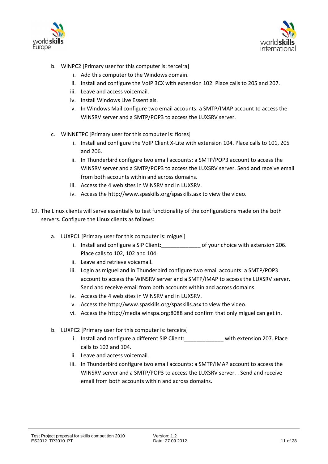



- b. WINPC2 [Primary user for this computer is: terceira]
	- i. Add this computer to the Windows domain.
	- ii. Install and configure the VoIP 3CX with extension 102. Place calls to 205 and 207.
	- iii. Leave and access voicemail.
	- iv. Install Windows Live Essentials.
	- v. In Windows Mail configure two email accounts: a SMTP/IMAP account to access the WINSRV server and a SMTP/POP3 to access the LUXSRV server.
- c. WINNETPC [Primary user for this computer is: flores]
	- i. Install and configure the VoIP Client X-Lite with extension 104. Place calls to 101, 205 and 206.
	- ii. In Thunderbird configure two email accounts: a SMTP/POP3 account to access the WINSRV server and a SMTP/POP3 to access the LUXSRV server. Send and receive email from both accounts within and across domains.
	- iii. Access the 4 web sites in WINSRV and in LUXSRV.
	- iv. Access the http://www.spaskills.org/spaskills.asx to view the video.
- 19. The Linux clients will serve essentially to test functionality of the configurations made on the both servers. Configure the Linux clients as follows:
	- a. LUXPC1 [Primary user for this computer is: miguel]
		- i. Install and configure a SIP Client: of your choice with extension 206. Place calls to 102, 102 and 104.
		- ii. Leave and retrieve voicemail.
		- iii. Login as miguel and in Thunderbird configure two email accounts: a SMTP/POP3 account to access the WINSRV server and a SMTP/IMAP to access the LUXSRV server. Send and receive email from both accounts within and across domains.
		- iv. Access the 4 web sites in WINSRV and in LUXSRV.
		- v. Access the http://www.spaskills.org/spaskills.asx to view the video.
		- vi. Access the http://media.winspa.org:8088 and confirm that only miguel can get in.
	- b. LUXPC2 [Primary user for this computer is: terceira]
		- i. Install and configure a different SIP Client: \_\_\_\_\_\_\_\_\_ with extension 207. Place calls to 102 and 104.
		- ii. Leave and access voicemail.
		- iii. In Thunderbird configure two email accounts: a SMTP/IMAP account to access the WINSRV server and a SMTP/POP3 to access the LUXSRV server. . Send and receive email from both accounts within and across domains.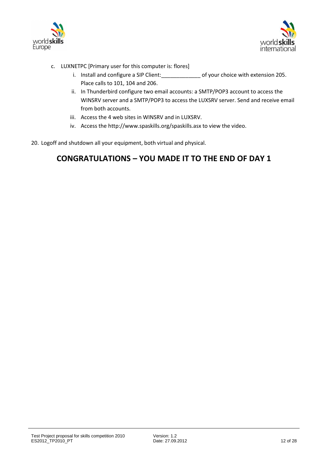



- c. LUXNETPC [Primary user for this computer is: flores]
	- i. Install and configure a SIP Client: or set of your choice with extension 205. Place calls to 101, 104 and 206.
	- ii. In Thunderbird configure two email accounts: a SMTP/POP3 account to access the WINSRV server and a SMTP/POP3 to access the LUXSRV server. Send and receive email from both accounts.
	- iii. Access the 4 web sites in WINSRV and in LUXSRV.
	- iv. Access the http://www.spaskills.org/spaskills.asx to view the video.
- 20. Logoff and shutdown all your equipment, both virtual and physical.

## **CONGRATULATIONS – YOU MADE IT TO THE END OF DAY 1**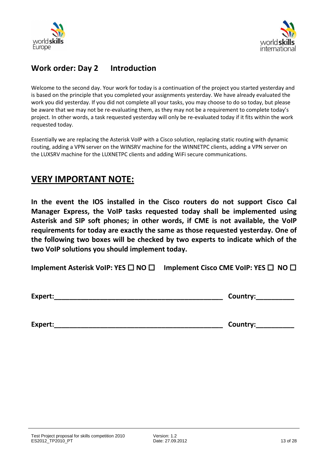



## **Work order: Day 2 Introduction**

Welcome to the second day. Your work for today is a continuation of the project you started yesterday and is based on the principle that you completed your assignments yesterday. We have already evaluated the work you did yesterday. If you did not complete all your tasks, you may choose to do so today, but please be aware that we may not be re-evaluating them, as they may not be a requirement to complete today's project. In other words, a task requested yesterday will only be re-evaluated today if it fits within the work requested today.

Essentially we are replacing the Asterisk VoIP with a Cisco solution, replacing static routing with dynamic routing, adding a VPN server on the WINSRV machine for the WINNETPC clients, adding a VPN server on the LUXSRV machine for the LUXNETPC clients and adding WiFi secure communications.

## **VERY IMPORTANT NOTE:**

**In the event the IOS installed in the Cisco routers do not support Cisco Cal Manager Express, the VoIP tasks requested today shall be implemented using Asterisk and SIP soft phones; in other words, if CME is not available, the VoIP requirements for today are exactly the same as those requested yesterday. One of the following two boxes will be checked by two experts to indicate which of the two VoIP solutions you should implement today.**

**Implement Asterisk VoIP: YES □ NO □ Implement Cisco CME VoIP: YES □ NO □** 

**Expert:\_\_\_\_\_\_\_\_\_\_\_\_\_\_\_\_\_\_\_\_\_\_\_\_\_\_\_\_\_\_\_\_\_\_\_\_\_\_\_\_\_\_\_\_ Country:\_\_\_\_\_\_\_\_\_\_** 

**Expert:\_\_\_\_\_\_\_\_\_\_\_\_\_\_\_\_\_\_\_\_\_\_\_\_\_\_\_\_\_\_\_\_\_\_\_\_\_\_\_\_\_\_\_\_ Country:\_\_\_\_\_\_\_\_\_\_**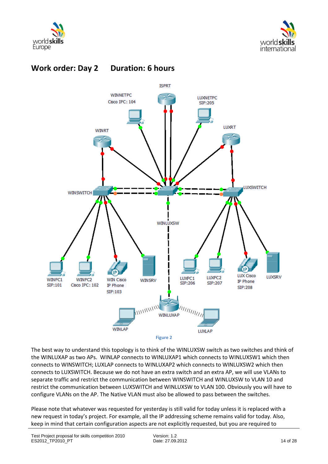

**Work order: Day 2 Duration: 6 hours**







The best way to understand this topology is to think of the WINLUXSW switch as two switches and think of the WINLUXAP as two APs. WINLAP connects to WINLUXAP1 which connects to WINLUXSW1 which then connects to WINSWITCH; LUXLAP connects to WINLUXAP2 which connects to WINLUXSW2 which then connects to LUXSWITCH. Because we do not have an extra switch and an extra AP, we will use VLANs to separate traffic and restrict the communication between WINSWITCH and WINLUXSW to VLAN 10 and restrict the communication between LUXSWITCH and WINLUXSW to VLAN 100. Obviously you will have to configure VLANs on the AP. The Native VLAN must also be allowed to pass between the switches.

Please note that whatever was requested for yesterday is still valid for today unless it is replaced with a new request in today's project. For example, all the IP addressing scheme remains valid for today. Also, keep in mind that certain configuration aspects are not explicitly requested, but you are required to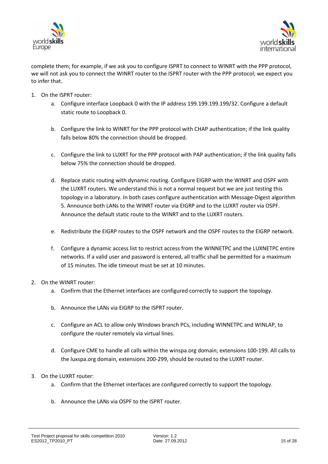



complete them; for example, if we ask you to configure ISPRT to connect to WINRT with the PPP protocol, we will not ask you to connect the WINRT router to the ISPRT router with the PPP protocol; we expect you to infer that.

- 1. On the ISPRT router:
	- a. Configure interface Loopback 0 with the IP address 199.199.199.199/32. Configure a default static route to Loopback 0.
	- b. Configure the link to WINRT for the PPP protocol with CHAP authentication; if the link quality falls below 80% the connection should be dropped.
	- c. Configure the link to LUXRT for the PPP protocol with PAP authentication; if the link quality falls below 75% the connection should be dropped.
	- d. Replace static routing with dynamic routing. Configure EIGRP with the WINRT and OSPF with the LUXRT routers. We understand this is not a normal request but we are just testing this topology in a laboratory. In both cases configure authentication with Message-Digest algorithm 5. Announce both LANs to the WINRT router via EIGRP and to the LUXRT router via OSPF. Announce the default static route to the WINRT and to the LUXRT routers.
	- e. Redistribute the EIGRP routes to the OSPF network and the OSPF routes to the EIGRP network.
	- f. Configure a dynamic access list to restrict access from the WINNETPC and the LUXNETPC entire networks. If a valid user and password is entered, all traffic shall be permitted for a maximum of 15 minutes. The idle timeout must be set at 10 minutes.
- 2. On the WINRT router:
	- a. Confirm that the Ethernet interfaces are configured correctly to support the topology.
	- b. Announce the LANs via EIGRP to the ISPRT router.
	- c. Configure an ACL to allow only Windows branch PCs, including WINNETPC and WINLAP, to configure the router remotely via virtual lines.
	- d. Configure CME to handle all calls within the winspa.org domain; extensions 100-199. All calls to the luxspa.org domain, extensions 200-299, should be routed to the LUXRT router.
- 3. On the LUXRT router:
	- a. Confirm that the Ethernet interfaces are configured correctly to support the topology.
	- b. Announce the LANs via OSPF to the ISPRT router.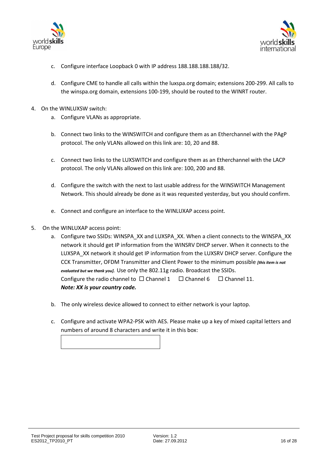



- c. Configure interface Loopback 0 with IP address 188.188.188.188/32.
- d. Configure CME to handle all calls within the luxspa.org domain; extensions 200-299. All calls to the winspa.org domain, extensions 100-199, should be routed to the WINRT router.
- 4. On the WINLUXSW switch:
	- a. Configure VLANs as appropriate.
	- b. Connect two links to the WINSWITCH and configure them as an Etherchannel with the PAgP protocol. The only VLANs allowed on this link are: 10, 20 and 88.
	- c. Connect two links to the LUXSWITCH and configure them as an Etherchannel with the LACP protocol. The only VLANs allowed on this link are: 100, 200 and 88.
	- d. Configure the switch with the next to last usable address for the WINSWITCH Management Network. This should already be done as it was requested yesterday, but you should confirm.
	- e. Connect and configure an interface to the WINLUXAP access point.
- 5. On the WINLUXAP access point:
	- a. Configure two SSIDs: WINSPA\_XX and LUXSPA\_XX. When a client connects to the WINSPA\_XX network it should get IP information from the WINSRV DHCP server. When it connects to the LUXSPA\_XX network it should get IP information from the LUXSRV DHCP server. Configure the CCK Transmitter, OFDM Transmitter and Client Power to the minimum possible *[this item is not evaluated but we thank you].* Use only the 802.11g radio. Broadcast the SSIDs. Configure the radio channel to  $\Box$  Channel 1  $\Box$  Channel 6  $\Box$  Channel 11. *Note: XX is your country code.*
	- b. The only wireless device allowed to connect to either network is your laptop.
	- c. Configure and activate WPA2-PSK with AES. Please make up a key of mixed capital letters and numbers of around 8 characters and write it in this box:

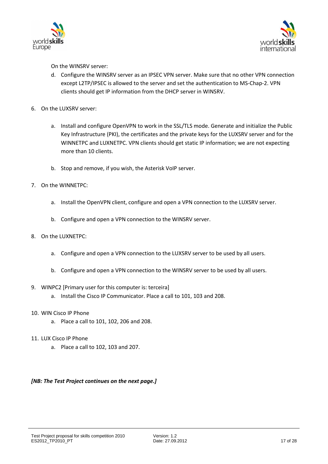



On the WINSRV server:

- d. Configure the WINSRV server as an IPSEC VPN server. Make sure that no other VPN connection except L2TP/IPSEC is allowed to the server and set the authentication to MS-Chap-2. VPN clients should get IP information from the DHCP server in WINSRV.
- 6. On the LUXSRV server:
	- a. Install and configure OpenVPN to work in the SSL/TLS mode. Generate and initialize the Public Key Infrastructure (PKI), the certificates and the private keys for the LUXSRV server and for the WINNETPC and LUXNETPC. VPN clients should get static IP information; we are not expecting more than 10 clients.
	- b. Stop and remove, if you wish, the Asterisk VoIP server.
- 7. On the WINNETPC:
	- a. Install the OpenVPN client, configure and open a VPN connection to the LUXSRV server.
	- b. Configure and open a VPN connection to the WINSRV server.
- 8. On the LUXNETPC:
	- a. Configure and open a VPN connection to the LUXSRV server to be used by all users.
	- b. Configure and open a VPN connection to the WINSRV server to be used by all users.
- 9. WINPC2 [Primary user for this computer is: terceira]
	- a. Install the Cisco IP Communicator. Place a call to 101, 103 and 208.
- 10. WIN Cisco IP Phone
	- a. Place a call to 101, 102, 206 and 208.
- 11. LUX Cisco IP Phone
	- a. Place a call to 102, 103 and 207.

#### *[NB: The Test Project continues on the next page.]*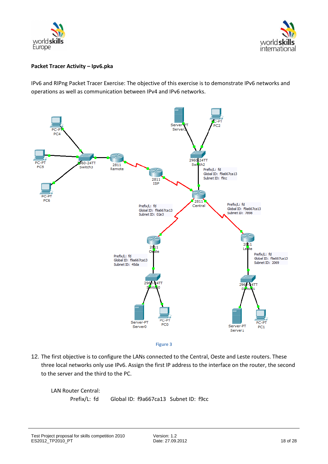



#### **Packet Tracer Activity – Ipv6.pka**

IPv6 and RIPng Packet Tracer Exercise: The objective of this exercise is to demonstrate IPv6 networks and operations as well as communication between IPv4 and IPv6 networks.



12. The first objective is to configure the LANs connected to the Central, Oeste and Leste routers. These three local networks only use IPv6. Assign the first IP address to the interface on the router, the second to the server and the third to the PC.

LAN Router Central:

Prefix/L: fd Global ID: f9a667ca13 Subnet ID: f9cc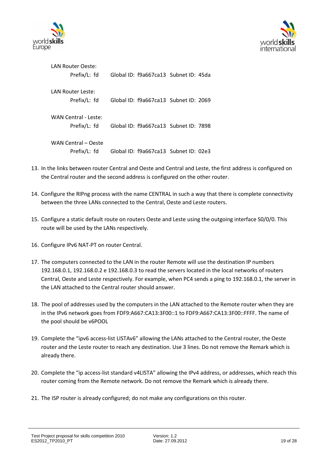



| LAN Router Oeste:<br>Prefix/L: fd | Global ID: f9a667ca13 Subnet ID: 45da |  |
|-----------------------------------|---------------------------------------|--|
| LAN Router Leste:                 |                                       |  |
| Prefix/L: fd                      | Global ID: f9a667ca13 Subnet ID: 2069 |  |
|                                   |                                       |  |
| WAN Central - Leste:              |                                       |  |
| Prefix/L: fd                      | Global ID: f9a667ca13 Subnet ID: 7898 |  |
|                                   |                                       |  |
| WAN Central – Oeste               |                                       |  |
| Prefix/L: fd                      | Global ID: f9a667ca13 Subnet ID: 02e3 |  |

- 13. In the links between router Central and Oeste and Central and Leste, the first address is configured on the Central router and the second address is configured on the other router.
- 14. Configure the RIPng process with the name CENTRAL in such a way that there is complete connectivity between the three LANs connected to the Central, Oeste and Leste routers.
- 15. Configure a static default route on routers Oeste and Leste using the outgoing interface S0/0/0. This route will be used by the LANs respectively.
- 16. Configure IPv6 NAT-PT on router Central.
- 17. The computers connected to the LAN in the router Remote will use the destination IP numbers 192.168.0.1, 192.168.0.2 e 192.168.0.3 to read the servers located in the local networks of routers Central, Oeste and Leste respectively. For example, when PC4 sends a ping to 192.168.0.1, the server in the LAN attached to the Central router should answer.
- 18. The pool of addresses used by the computers in the LAN attached to the Remote router when they are in the IPv6 network goes from FDF9:A667:CA13:3F00::1 to FDF9:A667:CA13:3F00::FFFF. The name of the pool should be v6POOL
- 19. Complete the "ipv6 access-list LISTAv6" allowing the LANs attached to the Central router, the Oeste router and the Leste router to reach any destination. Use 3 lines. Do not remove the Remark which is already there.
- 20. Complete the "ip access-list standard v4LISTA" allowing the IPv4 address, or addresses, which reach this router coming from the Remote network. Do not remove the Remark which is already there.
- 21. The ISP router is already configured; do not make any configurations on this router.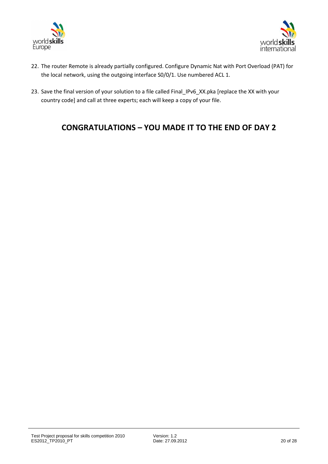



- 22. The router Remote is already partially configured. Configure Dynamic Nat with Port Overload (PAT) for the local network, using the outgoing interface S0/0/1. Use numbered ACL 1.
- 23. Save the final version of your solution to a file called Final\_IPv6\_XX.pka [replace the XX with your country code] and call at three experts; each will keep a copy of your file.

## **CONGRATULATIONS – YOU MADE IT TO THE END OF DAY 2**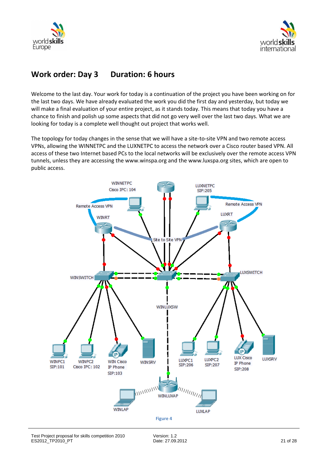



## **Work order: Day 3 Duration: 6 hours**

Welcome to the last day. Your work for today is a continuation of the project you have been working on for the last two days. We have already evaluated the work you did the first day and yesterday, but today we will make a final evaluation of your entire project, as it stands today. This means that today you have a chance to finish and polish up some aspects that did not go very well over the last two days. What we are looking for today is a complete well thought out project that works well.

The topology for today changes in the sense that we will have a site-to-site VPN and two remote access VPNs, allowing the WINNETPC and the LUXNETPC to access the network over a Cisco router based VPN. All access of these two Internet based PCs to the local networks will be exclusively over the remote access VPN tunnels, unless they are accessing the www.winspa.org and the www.luxspa.org sites, which are open to public access.

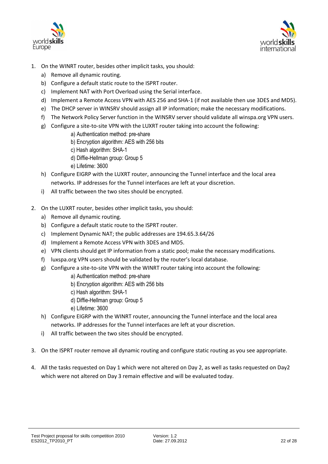



- 1. On the WINRT router, besides other implicit tasks, you should:
	- a) Remove all dynamic routing.
	- b) Configure a default static route to the ISPRT router.
	- c) Implement NAT with Port Overload using the Serial interface.
	- d) Implement a Remote Access VPN with AES 256 and SHA-1 (if not available then use 3DES and MD5).
	- e) The DHCP server in WINSRV should assign all IP information; make the necessary modifications.
	- f) The Network Policy Server function in the WINSRV server should validate all winspa.org VPN users.
	- g) Configure a site-to-site VPN with the LUXRT router taking into account the following:
		- a) Authentication method: pre-share
		- b) Encryption algorithm: AES with 256 bits
		- c) Hash algorithm: SHA-1
		- d) Diffie-Hellman group: Group 5
		- e) Lifetime: 3600
	- h) Configure EIGRP with the LUXRT router, announcing the Tunnel interface and the local area networks. IP addresses for the Tunnel interfaces are left at your discretion.
	- i) All traffic between the two sites should be encrypted.
- 2. On the LUXRT router, besides other implicit tasks, you should:
	- a) Remove all dynamic routing.
	- b) Configure a default static route to the ISPRT router.
	- c) Implement Dynamic NAT; the public addresses are 194.65.3.64/26
	- d) Implement a Remote Access VPN with 3DES and MD5.
	- e) VPN clients should get IP information from a static pool; make the necessary modifications.
	- f) luxspa.org VPN users should be validated by the router's local database.
	- g) Configure a site-to-site VPN with the WINRT router taking into account the following:
		- a) Authentication method: pre-share
		- b) Encryption algorithm: AES with 256 bits
		- c) Hash algorithm: SHA-1
		- d) Diffie-Hellman group: Group 5
		- e) Lifetime: 3600
	- h) Configure EIGRP with the WINRT router, announcing the Tunnel interface and the local area networks. IP addresses for the Tunnel interfaces are left at your discretion.
	- i) All traffic between the two sites should be encrypted.
- 3. On the ISPRT router remove all dynamic routing and configure static routing as you see appropriate.
- 4. All the tasks requested on Day 1 which were not altered on Day 2, as well as tasks requested on Day2 which were not altered on Day 3 remain effective and will be evaluated today.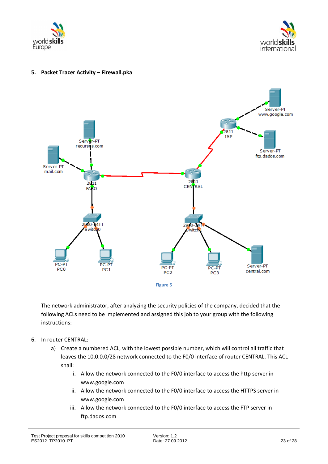



#### **5. Packet Tracer Activity – Firewall.pka**



The network administrator, after analyzing the security policies of the company, decided that the following ACLs need to be implemented and assigned this job to your group with the following instructions:

- 6. In router CENTRAL:
	- a) Create a numbered ACL, with the lowest possible number, which will control all traffic that leaves the 10.0.0.0/28 network connected to the F0/0 interface of router CENTRAL. This ACL shall:
		- i. Allow the network connected to the F0/0 interface to access the http server in www.google.com
		- ii. Allow the network connected to the F0/0 interface to access the HTTPS server in www.google.com
		- iii. Allow the network connected to the F0/0 interface to access the FTP server in ftp.dados.com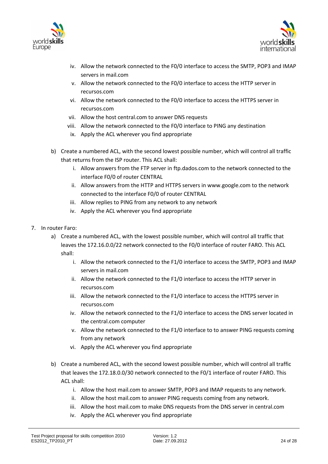



- iv. Allow the network connected to the F0/0 interface to access the SMTP, POP3 and IMAP servers in mail.com
- v. Allow the network connected to the F0/0 interface to access the HTTP server in recursos.com
- vi. Allow the network connected to the F0/0 interface to access the HTTPS server in recursos.com
- vii. Allow the host central.com to answer DNS requests
- viii. Allow the network connected to the F0/0 interface to PING any destination
- ix. Apply the ACL wherever you find appropriate
- b) Create a numbered ACL, with the second lowest possible number, which will control all traffic that returns from the ISP router. This ACL shall:
	- i. Allow answers from the FTP server in ftp.dados.com to the network connected to the interface F0/0 of router CENTRAL
	- ii. Allow answers from the HTTP and HTTPS servers in www.google.com to the network connected to the interface F0/0 of router CENTRAL
	- iii. Allow replies to PING from any network to any network
	- iv. Apply the ACL wherever you find appropriate
- 7. In router Faro:
	- a) Create a numbered ACL, with the lowest possible number, which will control all traffic that leaves the 172.16.0.0/22 network connected to the F0/0 interface of router FARO. This ACL shall:
		- i. Allow the network connected to the F1/0 interface to access the SMTP, POP3 and IMAP servers in mail.com
		- ii. Allow the network connected to the F1/0 interface to access the HTTP server in recursos.com
		- iii. Allow the network connected to the F1/0 interface to access the HTTPS server in recursos.com
		- iv. Allow the network connected to the F1/0 interface to access the DNS server located in the central.com computer
		- v. Allow the network connected to the F1/0 interface to to answer PING requests coming from any network
		- vi. Apply the ACL wherever you find appropriate
	- b) Create a numbered ACL, with the second lowest possible number, which will control all traffic that leaves the 172.18.0.0/30 network connected to the F0/1 interface of router FARO. This ACL shall:
		- i. Allow the host mail.com to answer SMTP, POP3 and IMAP requests to any network.
		- ii. Allow the host mail.com to answer PING requests coming from any network.
		- iii. Allow the host mail.com to make DNS requests from the DNS server in central.com
		- iv. Apply the ACL wherever you find appropriate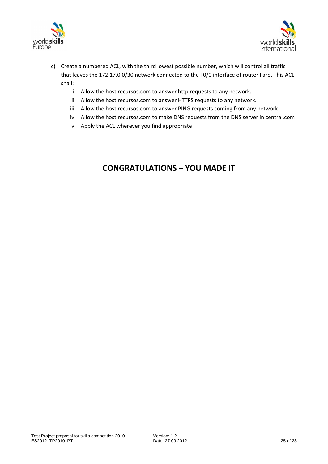



- c) Create a numbered ACL, with the third lowest possible number, which will control all traffic that leaves the 172.17.0.0/30 network connected to the F0/0 interface of router Faro. This ACL shall:
	- i. Allow the host recursos.com to answer http requests to any network.
	- ii. Allow the host recursos.com to answer HTTPS requests to any network.
	- iii. Allow the host recursos.com to answer PING requests coming from any network.
	- iv. Allow the host recursos.com to make DNS requests from the DNS server in central.com
	- v. Apply the ACL wherever you find appropriate

## **CONGRATULATIONS – YOU MADE IT**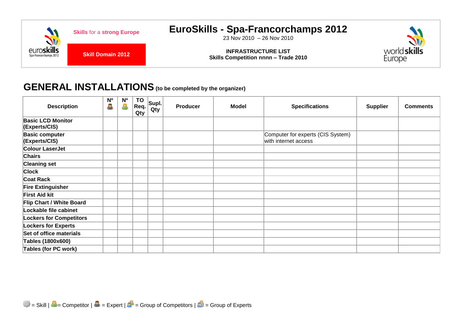

# **GENERAL INSTALLATIONS(to be completed by the organizer)**

| <b>Description</b>                        | N <sub>o</sub><br>ė. | N <sup>o</sup><br>8 | <b>TO</b><br>Req.<br>Qty | SupL <br>Qty | <b>Producer</b> | <b>Model</b> | <b>Specifications</b>                                     | <b>Supplier</b> | <b>Comments</b> |
|-------------------------------------------|----------------------|---------------------|--------------------------|--------------|-----------------|--------------|-----------------------------------------------------------|-----------------|-----------------|
| <b>Basic LCD Monitor</b><br>(Experts/CIS) |                      |                     |                          |              |                 |              |                                                           |                 |                 |
| <b>Basic computer</b><br>(Experts/CIS)    |                      |                     |                          |              |                 |              | Computer for experts (CIS System)<br>with internet access |                 |                 |
| <b>Colour LaserJet</b>                    |                      |                     |                          |              |                 |              |                                                           |                 |                 |
| <b>Chairs</b>                             |                      |                     |                          |              |                 |              |                                                           |                 |                 |
| <b>Cleaning set</b>                       |                      |                     |                          |              |                 |              |                                                           |                 |                 |
| <b>Clock</b>                              |                      |                     |                          |              |                 |              |                                                           |                 |                 |
| <b>Coat Rack</b>                          |                      |                     |                          |              |                 |              |                                                           |                 |                 |
| <b>Fire Extinguisher</b>                  |                      |                     |                          |              |                 |              |                                                           |                 |                 |
| <b>First Aid kit</b>                      |                      |                     |                          |              |                 |              |                                                           |                 |                 |
| <b>Flip Chart / White Board</b>           |                      |                     |                          |              |                 |              |                                                           |                 |                 |
| Lockable file cabinet                     |                      |                     |                          |              |                 |              |                                                           |                 |                 |
| <b>Lockers for Competitors</b>            |                      |                     |                          |              |                 |              |                                                           |                 |                 |
| <b>Lockers for Experts</b>                |                      |                     |                          |              |                 |              |                                                           |                 |                 |
| Set of office materials                   |                      |                     |                          |              |                 |              |                                                           |                 |                 |
| Tables (1800x600)                         |                      |                     |                          |              |                 |              |                                                           |                 |                 |
| <b>Tables (for PC work)</b>               |                      |                     |                          |              |                 |              |                                                           |                 |                 |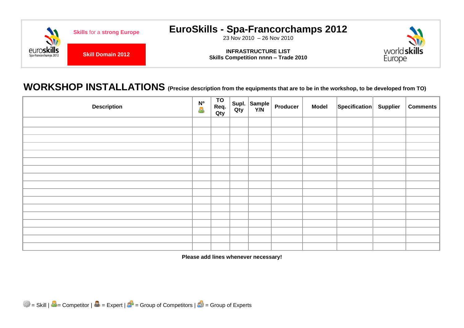

# **WORKSHOP INSTALLATIONS (Precise description from the equipments that are to be in the workshop, to be developed from TO)**

| <b>Description</b> | <mark>N°</mark><br>合 | TO<br>Req.<br>Qty |  | $\left \begin{array}{c c}\textsf{Supl.}\end{array}\right $ Sample Producer | <b>Model</b> | Specification Supplier | <b>Comments</b> |
|--------------------|----------------------|-------------------|--|----------------------------------------------------------------------------|--------------|------------------------|-----------------|
|                    |                      |                   |  |                                                                            |              |                        |                 |
|                    |                      |                   |  |                                                                            |              |                        |                 |
|                    |                      |                   |  |                                                                            |              |                        |                 |
|                    |                      |                   |  |                                                                            |              |                        |                 |
|                    |                      |                   |  |                                                                            |              |                        |                 |
|                    |                      |                   |  |                                                                            |              |                        |                 |
|                    |                      |                   |  |                                                                            |              |                        |                 |
|                    |                      |                   |  |                                                                            |              |                        |                 |
|                    |                      |                   |  |                                                                            |              |                        |                 |
|                    |                      |                   |  |                                                                            |              |                        |                 |
|                    |                      |                   |  |                                                                            |              |                        |                 |
|                    |                      |                   |  |                                                                            |              |                        |                 |
|                    |                      |                   |  |                                                                            |              |                        |                 |
|                    |                      |                   |  |                                                                            |              |                        |                 |
|                    |                      |                   |  |                                                                            |              |                        |                 |
|                    |                      |                   |  |                                                                            |              |                        |                 |
|                    |                      |                   |  |                                                                            |              |                        |                 |

**Please add lines whenever necessary!**